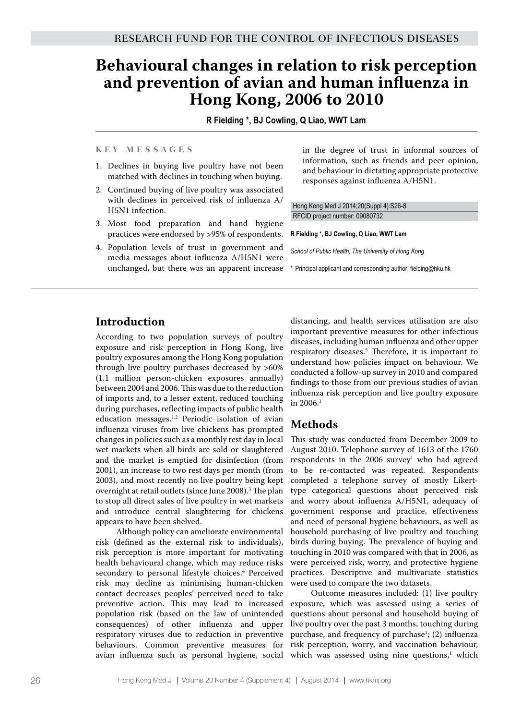# **Behavioural changes in relation to risk perception and prevention of avian and human influenza in Hong Kong, 2006 to 2010**

**R Fielding \*, BJ Cowling, Q Liao, WWT Lam**

#### **K e y M e s s a g e s**

- 1. Declines in buying live poultry have not been matched with declines in touching when buying.
- 2. Continued buying of live poultry was associated with declines in perceived risk of influenza A/ H5N1 infection.
- 3. Most food preparation and hand hygiene practices were endorsed by >95% of respondents.
- 4. Population levels of trust in government and media messages about influenza A/H5N1 were unchanged, but there was an apparent increase

in the degree of trust in informal sources of information, such as friends and peer opinion, and behaviour in dictating appropriate protective responses against influenza A/H5N1.

Hong Kong Med J 2014;20(Suppl 4):S26-8 RFCID project number: 09080732

#### **R Fielding \*, BJ Cowling, Q Liao, WWT Lam**

*School of Public Health, The University of Hong Kong*

\* Principal applicant and corresponding author: fielding@hku.hk

# **Introduction**

According to two population surveys of poultry exposure and risk perception in Hong Kong, live poultry exposures among the Hong Kong population through live poultry purchases decreased by >60% (1.1 million person-chicken exposures annually) between 2004 and 2006. This was due to the reduction of imports and, to a lesser extent, reduced touching during purchases, reflecting impacts of public health education messages.1,2 Periodic isolation of avian influenza viruses from live chickens has prompted changes in policies such as a monthly rest day in local wet markets when all birds are sold or slaughtered and the market is emptied for disinfection (from 2001), an increase to two rest days per month (from 2003), and most recently no live poultry being kept overnight at retail outlets (since June 2008).3 The plan to stop all direct sales of live poultry in wet markets and introduce central slaughtering for chickens appears to have been shelved.

Although policy can ameliorate environmental risk (defined as the external risk to individuals), risk perception is more important for motivating health behavioural change, which may reduce risks secondary to personal lifestyle choices.4 Perceived risk may decline as minimising human-chicken contact decreases peoples' perceived need to take preventive action. This may lead to increased population risk (based on the law of unintended consequences) of other influenza and upper respiratory viruses due to reduction in preventive behaviours. Common preventive measures for avian influenza such as personal hygiene, social

distancing, and health services utilisation are also important preventive measures for other infectious diseases, including human influenza and other upper respiratory diseases.5 Therefore, it is important to understand how policies impact on behaviour. We conducted a follow-up survey in 2010 and compared findings to those from our previous studies of avian influenza risk perception and live poultry exposure in  $2006.<sup>1</sup>$ 

## **Methods**

This study was conducted from December 2009 to August 2010. Telephone survey of 1613 of the 1760  $respondents$  in the 2006 survey<sup>1</sup> who had agreed to be re-contacted was repeated. Respondents completed a telephone survey of mostly Likerttype categorical questions about perceived risk and worry about influenza A/H5N1, adequacy of government response and practice, effectiveness and need of personal hygiene behaviours, as well as household purchasing of live poultry and touching birds during buying. The prevalence of buying and touching in 2010 was compared with that in 2006, as were perceived risk, worry, and protective hygiene practices. Descriptive and multivariate statistics were used to compare the two datasets.

Outcome measures included: (1) live poultry exposure, which was assessed using a series of questions about personal and household buying of live poultry over the past 3 months, touching during purchase, and frequency of purchase<sup>1</sup>; (2) influenza risk perception, worry, and vaccination behaviour, which was assessed using nine questions,<sup>1</sup> which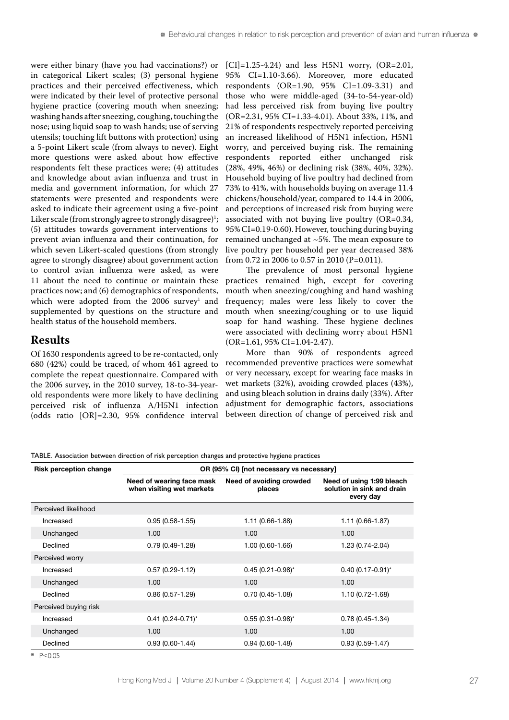were either binary (have you had vaccinations?) or in categorical Likert scales; (3) personal hygiene practices and their perceived effectiveness, which were indicated by their level of protective personal hygiene practice (covering mouth when sneezing; washing hands after sneezing, coughing, touching the nose; using liquid soap to wash hands; use of serving utensils; touching lift buttons with protection) using a 5-point Likert scale (from always to never). Eight more questions were asked about how effective respondents felt these practices were; (4) attitudes and knowledge about avian influenza and trust in media and government information, for which 27 statements were presented and respondents were asked to indicate their agreement using a five-point Liker scale (from strongly agree to strongly disagree)<sup>1</sup>; (5) attitudes towards government interventions to prevent avian influenza and their continuation, for which seven Likert-scaled questions (from strongly agree to strongly disagree) about government action to control avian influenza were asked, as were 11 about the need to continue or maintain these practices now; and (6) demographics of respondents, which were adopted from the 2006  $\text{survey}^1$  and supplemented by questions on the structure and health status of the household members.

#### **Results**

Of 1630 respondents agreed to be re-contacted, only 680 (42%) could be traced, of whom 461 agreed to complete the repeat questionnaire. Compared with the 2006 survey, in the 2010 survey, 18-to-34-yearold respondents were more likely to have declining perceived risk of influenza A/H5N1 infection (odds ratio [OR]=2.30, 95% confidence interval  $|CI|=1.25-4.24$  and less H5N1 worry,  $(OR=2.01,$ 95% CI=1.10-3.66). Moreover, more educated respondents (OR=1.90, 95% CI=1.09-3.31) and those who were middle-aged (34-to-54-year-old) had less perceived risk from buying live poultry (OR=2.31, 95% CI=1.33-4.01). About 33%, 11%, and 21% of respondents respectively reported perceiving an increased likelihood of H5N1 infection, H5N1 worry, and perceived buying risk. The remaining respondents reported either unchanged risk (28%, 49%, 46%) or declining risk (38%, 40%, 32%). Household buying of live poultry had declined from 73% to 41%, with households buying on average 11.4 chickens/household/year, compared to 14.4 in 2006, and perceptions of increased risk from buying were associated with not buying live poultry (OR=0.34, 95% CI=0.19-0.60). However, touching during buying remained unchanged at ~5%. The mean exposure to live poultry per household per year decreased 38% from 0.72 in 2006 to 0.57 in 2010 (P=0.011).

The prevalence of most personal hygiene practices remained high, except for covering mouth when sneezing/coughing and hand washing frequency; males were less likely to cover the mouth when sneezing/coughing or to use liquid soap for hand washing. These hygiene declines were associated with declining worry about H5N1 (OR=1.61, 95% CI=1.04-2.47).

More than 90% of respondents agreed recommended preventive practices were somewhat or very necessary, except for wearing face masks in wet markets (32%), avoiding crowded places (43%), and using bleach solution in drains daily (33%). After adjustment for demographic factors, associations between direction of change of perceived risk and

TABLE. Association between direction of risk perception changes and protective hygiene practices

| <b>Risk perception change</b> | OR (95% CI) [not necessary vs necessary]               |                                    |                                                                      |
|-------------------------------|--------------------------------------------------------|------------------------------------|----------------------------------------------------------------------|
|                               | Need of wearing face mask<br>when visiting wet markets | Need of avoiding crowded<br>places | Need of using 1:99 bleach<br>solution in sink and drain<br>every day |
| Perceived likelihood          |                                                        |                                    |                                                                      |
| Increased                     | $0.95(0.58 - 1.55)$                                    | 1.11 (0.66-1.88)                   | $1.11(0.66 - 1.87)$                                                  |
| Unchanged                     | 1.00                                                   | 1.00                               | 1.00                                                                 |
| Declined                      | $0.79(0.49-1.28)$                                      | $1.00(0.60-1.66)$                  | $1.23(0.74-2.04)$                                                    |
| Perceived worry               |                                                        |                                    |                                                                      |
| Increased                     | $0.57(0.29-1.12)$                                      | $0.45(0.21 - 0.98)^{*}$            | $0.40(0.17 - 0.91)^{*}$                                              |
| Unchanged                     | 1.00                                                   | 1.00                               | 1.00                                                                 |
| Declined                      | $0.86(0.57-1.29)$                                      | $0.70(0.45 - 1.08)$                | $1.10(0.72 - 1.68)$                                                  |
| Perceived buying risk         |                                                        |                                    |                                                                      |
| Increased                     | $0.41 (0.24 - 0.71)^*$                                 | $0.55(0.31 - 0.98)^{*}$            | $0.78(0.45 - 1.34)$                                                  |
| Unchanged                     | 1.00                                                   | 1.00                               | 1.00                                                                 |
| Declined                      | $0.93(0.60 - 1.44)$                                    | $0.94(0.60-1.48)$                  | $0.93(0.59 - 1.47)$                                                  |

\* P<0.05